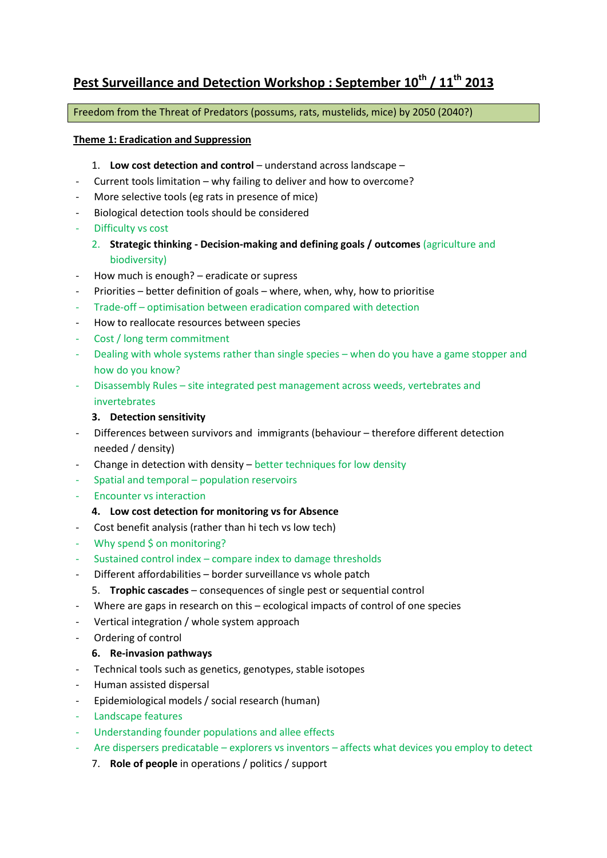# **Pest Surveillance and Detection Workshop : September 10th / 11th 2013**

Freedom from the Threat of Predators (possums, rats, mustelids, mice) by 2050 (2040?)

## **Theme 1: Eradication and Suppression**

- 1. Low cost detection and control understand across landscape –
- Current tools limitation why failing to deliver and how to overcome?
- More selective tools (eg rats in presence of mice)
- Biological detection tools should be considered
- Difficulty vs cost
	- 2. **Strategic thinking - Decision-making and defining goals / outcomes** (agriculture and biodiversity)
- How much is enough? eradicate or supress
- Priorities better definition of goals where, when, why, how to prioritise
- Trade-off optimisation between eradication compared with detection
- How to reallocate resources between species
- Cost / long term commitment
- Dealing with whole systems rather than single species when do you have a game stopper and how do you know?
- Disassembly Rules site integrated pest management across weeds, vertebrates and invertebrates

## **3. Detection sensitivity**

- Differences between survivors and immigrants (behaviour therefore different detection needed / density)
- Change in detection with density better techniques for low density
- Spatial and temporal population reservoirs
- Encounter vs interaction
	- **4. Low cost detection for monitoring vs for Absence**
- Cost benefit analysis (rather than hi tech vs low tech)
- Why spend \$ on monitoring?
- Sustained control index compare index to damage thresholds
- Different affordabilities border surveillance vs whole patch
	- 5. **Trophic cascades** consequences of single pest or sequential control
- Where are gaps in research on this  $-$  ecological impacts of control of one species
- Vertical integration / whole system approach
- Ordering of control

#### **6. Re-invasion pathways**

- Technical tools such as genetics, genotypes, stable isotopes
- Human assisted dispersal
- Epidemiological models / social research (human)
- Landscape features
- Understanding founder populations and allee effects
- Are dispersers predicatable explorers vs inventors affects what devices you employ to detect
	- 7. **Role of people** in operations / politics / support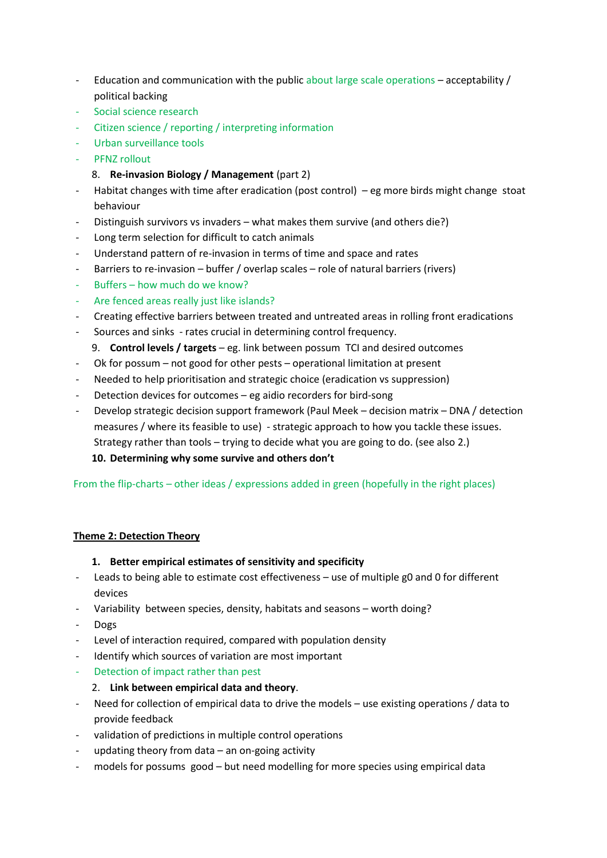- Education and communication with the public about large scale operations  $-$  acceptability  $/$ political backing
- Social science research
- Citizen science / reporting / interpreting information
- Urban surveillance tools
- PFNZ rollout
	- 8. **Re-invasion Biology / Management** (part 2)
- Habitat changes with time after eradication (post control) eg more birds might change stoat behaviour
- Distinguish survivors vs invaders what makes them survive (and others die?)
- Long term selection for difficult to catch animals
- Understand pattern of re-invasion in terms of time and space and rates
- Barriers to re-invasion buffer / overlap scales role of natural barriers (rivers)
- Buffers how much do we know?
- Are fenced areas really just like islands?
- Creating effective barriers between treated and untreated areas in rolling front eradications
- Sources and sinks rates crucial in determining control frequency.
	- 9. **Control levels / targets** eg. link between possum TCI and desired outcomes
- Ok for possum not good for other pests operational limitation at present
- Needed to help prioritisation and strategic choice (eradication vs suppression)
- Detection devices for outcomes eg aidio recorders for bird-song
- Develop strategic decision support framework (Paul Meek decision matrix DNA / detection measures / where its feasible to use) - strategic approach to how you tackle these issues. Strategy rather than tools – trying to decide what you are going to do. (see also 2.) **10. Determining why some survive and others don't**

# From the flip-charts – other ideas / expressions added in green (hopefully in the right places)

# **Theme 2: Detection Theory**

# **1. Better empirical estimates of sensitivity and specificity**

- Leads to being able to estimate cost effectiveness use of multiple g0 and 0 for different devices
- Variability between species, density, habitats and seasons worth doing?
- Dogs
- Level of interaction required, compared with population density
- Identify which sources of variation are most important
- Detection of impact rather than pest
	- 2. **Link between empirical data and theory**.
- Need for collection of empirical data to drive the models use existing operations / data to provide feedback
- validation of predictions in multiple control operations
- updating theory from data an on-going activity
- models for possums good but need modelling for more species using empirical data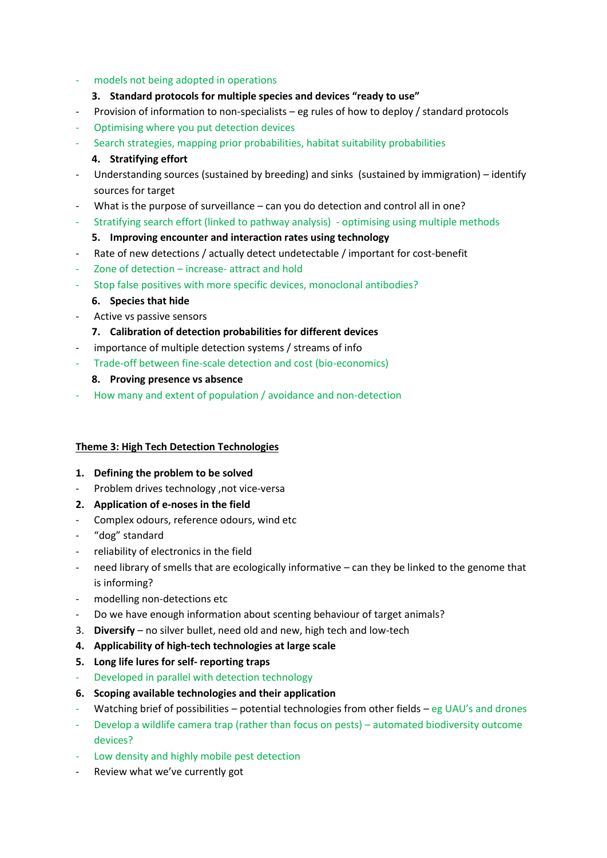## - models not being adopted in operations

# **3. Standard protocols for multiple species and devices "ready to use"**

- Provision of information to non-specialists eg rules of how to deploy / standard protocols
- Optimising where you put detection devices
- Search strategies, mapping prior probabilities, habitat suitability probabilities

## **4. Stratifying effort**

- Understanding sources (sustained by breeding) and sinks (sustained by immigration) identify sources for target
- What is the purpose of surveillance can you do detection and control all in one?
- Stratifying search effort (linked to pathway analysis) optimising using multiple methods

## **5. Improving encounter and interaction rates using technology**

- Rate of new detections / actually detect undetectable / important for cost-benefit
- Zone of detection increase- attract and hold
- Stop false positives with more specific devices, monoclonal antibodies?

## **6. Species that hide**

- Active vs passive sensors
	- **7. Calibration of detection probabilities for different devices**
- importance of multiple detection systems / streams of info
- Trade-off between fine-scale detection and cost (bio-economics)
	- **8. Proving presence vs absence**
- How many and extent of population / avoidance and non-detection

#### **Theme 3: High Tech Detection Technologies**

- **1. Defining the problem to be solved**
- Problem drives technology ,not vice-versa
- **2. Application of e-noses in the field**
- Complex odours, reference odours, wind etc
- "dog" standard
- reliability of electronics in the field
- need library of smells that are ecologically informative can they be linked to the genome that is informing?
- modelling non-detections etc
- Do we have enough information about scenting behaviour of target animals?
- 3. **Diversify** no silver bullet, need old and new, high tech and low-tech
- **4. Applicability of high-tech technologies at large scale**
- **5. Long life lures for self- reporting traps**
	- Developed in parallel with detection technology
- **6. Scoping available technologies and their application**
- Watching brief of possibilities potential technologies from other fields eg UAU's and drones
- Develop a wildlife camera trap (rather than focus on pests) automated biodiversity outcome devices?
- Low density and highly mobile pest detection
- Review what we've currently got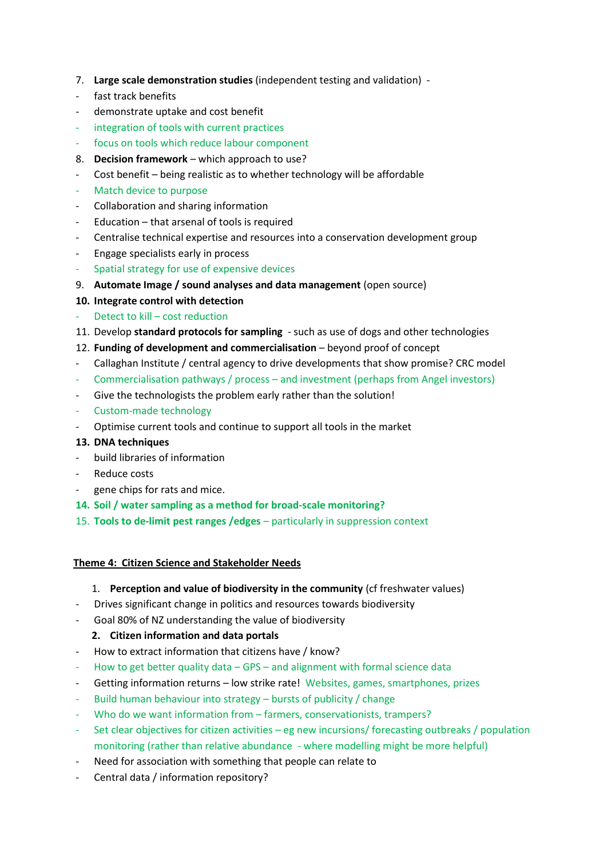- 7. **Large scale demonstration studies** (independent testing and validation) -
- fast track benefits
- demonstrate uptake and cost benefit
- integration of tools with current practices
- focus on tools which reduce labour component
- 8. **Decision framework** which approach to use?
- Cost benefit being realistic as to whether technology will be affordable
- Match device to purpose
- Collaboration and sharing information
- Education that arsenal of tools is required
- Centralise technical expertise and resources into a conservation development group
- Engage specialists early in process
- Spatial strategy for use of expensive devices
- 9. **Automate Image / sound analyses and data management** (open source)
- **10. Integrate control with detection**
- Detect to kill cost reduction
- 11. Develop **standard protocols for sampling** such as use of dogs and other technologies
- 12. **Funding of development and commercialisation** beyond proof of concept
- Callaghan Institute / central agency to drive developments that show promise? CRC model
- Commercialisation pathways / process and investment (perhaps from Angel investors)
- Give the technologists the problem early rather than the solution!
- Custom-made technology
- Optimise current tools and continue to support all tools in the market
- **13. DNA techniques**
- build libraries of information
- Reduce costs
- gene chips for rats and mice.
- **14. Soil / water sampling as a method for broad-scale monitoring?**
- 15. **Tools to de-limit pest ranges /edges**  particularly in suppression context

#### **Theme 4: Citizen Science and Stakeholder Needs**

- 1. **Perception and value of biodiversity in the community** (cf freshwater values)
- Drives significant change in politics and resources towards biodiversity
- Goal 80% of NZ understanding the value of biodiversity

# **2. Citizen information and data portals**

- How to extract information that citizens have / know?
- How to get better quality data GPS and alignment with formal science data
- Getting information returns low strike rate! Websites, games, smartphones, prizes
- Build human behaviour into strategy bursts of publicity / change
- Who do we want information from farmers, conservationists, trampers?
- Set clear objectives for citizen activities eg new incursions/ forecasting outbreaks / population monitoring (rather than relative abundance - where modelling might be more helpful)
- Need for association with something that people can relate to
- Central data / information repository?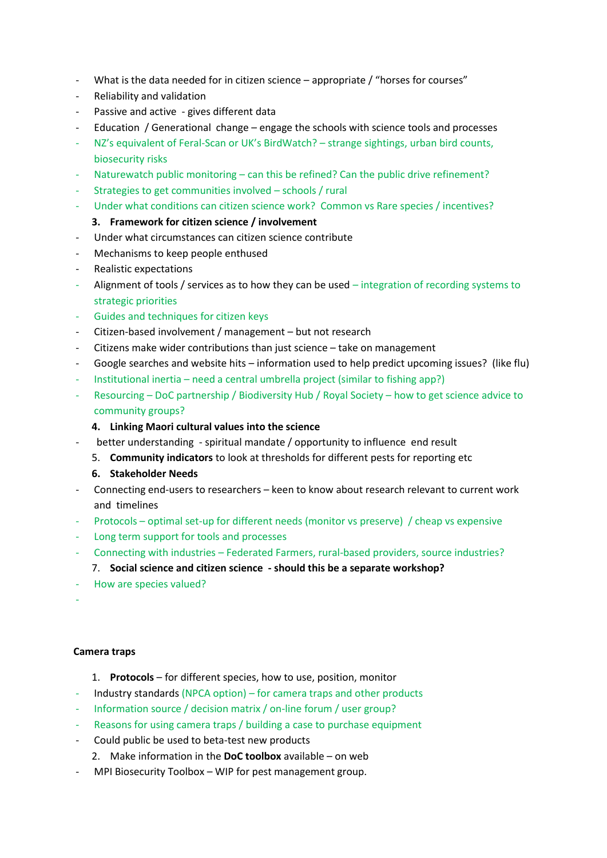- What is the data needed for in citizen science appropriate / "horses for courses"
- Reliability and validation
- Passive and active gives different data
- Education / Generational change engage the schools with science tools and processes
- NZ's equivalent of Feral-Scan or UK's BirdWatch? strange sightings, urban bird counts, biosecurity risks
- Naturewatch public monitoring can this be refined? Can the public drive refinement?
- Strategies to get communities involved schools / rural
- Under what conditions can citizen science work? Common vs Rare species / incentives?

# **3. Framework for citizen science / involvement**

- Under what circumstances can citizen science contribute
- Mechanisms to keep people enthused
- Realistic expectations
- Alignment of tools / services as to how they can be used  $-$  integration of recording systems to strategic priorities
- Guides and techniques for citizen keys
- Citizen-based involvement / management but not research
- Citizens make wider contributions than just science take on management
- Google searches and website hits information used to help predict upcoming issues? (like flu)
- Institutional inertia need a central umbrella project (similar to fishing app?)
- Resourcing DoC partnership / Biodiversity Hub / Royal Society how to get science advice to community groups?

## **4. Linking Maori cultural values into the science**

- better understanding spiritual mandate / opportunity to influence end result
	- 5. **Community indicators** to look at thresholds for different pests for reporting etc
	- **6. Stakeholder Needs**
- Connecting end-users to researchers keen to know about research relevant to current work and timelines
- Protocols optimal set-up for different needs (monitor vs preserve) / cheap vs expensive
- Long term support for tools and processes
- Connecting with industries Federated Farmers, rural-based providers, source industries?
- 7. **Social science and citizen science - should this be a separate workshop?**
- How are species valued?
- -

#### **Camera traps**

- 1. **Protocols** for different species, how to use, position, monitor
- Industry standards (NPCA option) for camera traps and other products
- Information source / decision matrix / on-line forum / user group?
- Reasons for using camera traps / building a case to purchase equipment
- Could public be used to beta-test new products
	- 2. Make information in the **DoC toolbox** available on web
- MPI Biosecurity Toolbox WIP for pest management group.